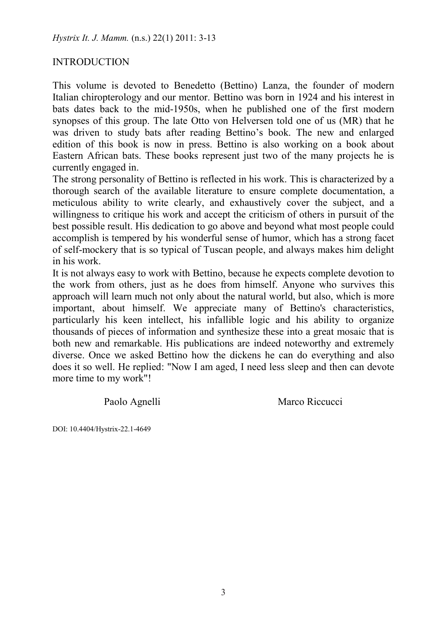# **INTRODUCTION**

This volume is devoted to Benedetto (Bettino) Lanza, the founder of modern Italian chiropterology and our mentor. Bettino was born in 1924 and his interest in bats dates back to the mid-1950s, when he published one of the first modern synopses of this group. The late Otto von Helversen told one of us (MR) that he was driven to study bats after reading Bettino's book. The new and enlarged edition of this book is now in press. Bettino is also working on a book about Eastern African bats. These books represent just two of the many projects he is currently engaged in.

The strong personality of Bettino is reflected in his work. This is characterized by a thorough search of the available literature to ensure complete documentation, a meticulous ability to write clearly, and exhaustively cover the subject, and a willingness to critique his work and accept the criticism of others in pursuit of the best possible result. His dedication to go above and beyond what most people could accomplish is tempered by his wonderful sense of humor, which has a strong facet of self-mockery that is so typical of Tuscan people, and always makes him delight in his work.

It is not always easy to work with Bettino, because he expects complete devotion to the work from others, just as he does from himself. Anyone who survives this approach will learn much not only about the natural world, but also, which is more important, about himself. We appreciate many of Bettino's characteristics, particularly his keen intellect, his infallible logic and his ability to organize thousands of pieces of information and synthesize these into a great mosaic that is both new and remarkable. His publications are indeed noteworthy and extremely diverse. Once we asked Bettino how the dickens he can do everything and also does it so well. He replied: "Now I am aged, I need less sleep and then can devote more time to my work"!

Paolo Agnelli Marco Riccucci

DOI: 10.4404/Hystrix-22.1-4649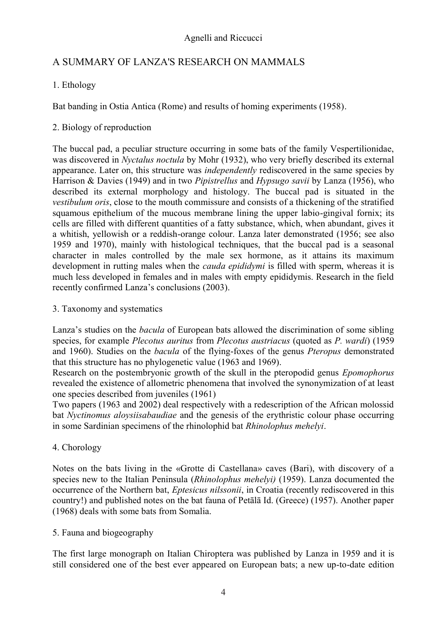# A SUMMARY OF LANZA'S RESEARCH ON MAMMALS

# 1. Ethology

Bat banding in Ostia Antica (Rome) and results of homing experiments (1958).

# 2. Biology of reproduction

The buccal pad, a peculiar structure occurring in some bats of the family Vespertilionidae, was discovered in *Nyctalus noctula* by Mohr (1932), who very briefly described its external appearance. Later on, this structure was *independently* rediscovered in the same species by Harrison & Davies (1949) and in two *Pipistrellus* and *Hypsugo savii* by Lanza (1956), who described its external morphology and histology. The buccal pad is situated in the *vestibulum oris*, close to the mouth commissure and consists of a thickening of the stratified squamous epithelium of the mucous membrane lining the upper labio-gingival fornix; its cells are filled with different quantities of a fatty substance, which, when abundant, gives it a whitish, yellowish or a reddish-orange colour. Lanza later demonstrated (1956; see also 1959 and 1970), mainly with histological techniques, that the buccal pad is a seasonal character in males controlled by the male sex hormone, as it attains its maximum development in rutting males when the *cauda epididymi* is filled with sperm, whereas it is much less developed in females and in males with empty epididymis. Research in the field recently confirmed Lanza's conclusions (2003).

3. Taxonomy and systematics

Lanza's studies on the *bacula* of European bats allowed the discrimination of some sibling species, for example *Plecotus auritus* from *Plecotus austriacus* (quoted as *P. wardi*) (1959 and 1960). Studies on the *bacula* of the flying-foxes of the genus *Pteropus* demonstrated that this structure has no phylogenetic value (1963 and 1969).

Research on the postembryonic growth of the skull in the pteropodid genus *Epomophorus*  revealed the existence of allometric phenomena that involved the synonymization of at least one species described from juveniles (1961)

Two papers (1963 and 2002) deal respectively with a redescription of the African molossid bat *Nyctinomus aloysiisabaudiae* and the genesis of the erythristic colour phase occurring in some Sardinian specimens of the rhinolophid bat *Rhinolophus mehelyi*.

4. Chorology

Notes on the bats living in the «Grotte di Castellana» caves (Bari), with discovery of a species new to the Italian Peninsula (*Rhinolophus mehelyi)* (1959). Lanza documented the occurrence of the Northern bat, *Eptesicus nilssonii*, in Croatia (recently rediscovered in this country!) and published notes on the bat fauna of Petālā Id. (Greece) (1957). Another paper (1968) deals with some bats from Somalia.

# 5. Fauna and biogeography

The first large monograph on Italian Chiroptera was published by Lanza in 1959 and it is still considered one of the best ever appeared on European bats; a new up-to-date edition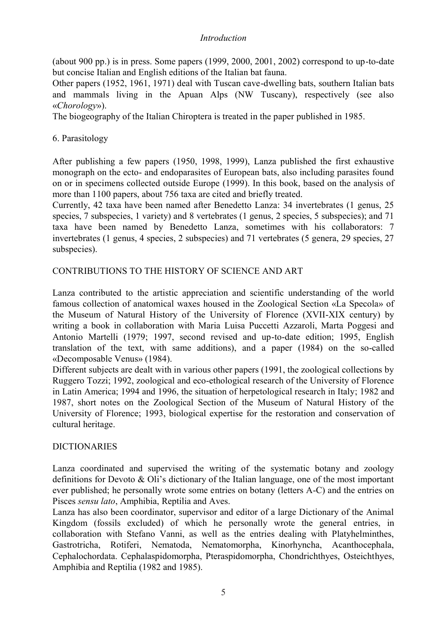# *Introduction*

(about 900 pp.) is in press. Some papers (1999, 2000, 2001, 2002) correspond to up-to-date but concise Italian and English editions of the Italian bat fauna.

Other papers (1952, 1961, 1971) deal with Tuscan cave-dwelling bats, southern Italian bats and mammals living in the Apuan Alps (NW Tuscany), respectively (see also «*Chorology*»).

The biogeography of the Italian Chiroptera is treated in the paper published in 1985.

# 6. Parasitology

After publishing a few papers (1950, 1998, 1999), Lanza published the first exhaustive monograph on the ecto- and endoparasites of European bats, also including parasites found on or in specimens collected outside Europe (1999). In this book, based on the analysis of more than 1100 papers, about 756 taxa are cited and briefly treated.

Currently, 42 taxa have been named after Benedetto Lanza: 34 invertebrates (1 genus, 25 species, 7 subspecies, 1 variety) and 8 vertebrates (1 genus, 2 species, 5 subspecies); and 71 taxa have been named by Benedetto Lanza, sometimes with his collaborators: 7 invertebrates (1 genus, 4 species, 2 subspecies) and 71 vertebrates (5 genera, 29 species, 27 subspecies).

# CONTRIBUTIONS TO THE HISTORY OF SCIENCE AND ART

Lanza contributed to the artistic appreciation and scientific understanding of the world famous collection of anatomical waxes housed in the Zoological Section «La Specola» of the Museum of Natural History of the University of Florence (XVII-XIX century) by writing a book in collaboration with Maria Luisa Puccetti Azzaroli, Marta Poggesi and Antonio Martelli (1979; 1997, second revised and up-to-date edition; 1995, English translation of the text, with same additions), and a paper (1984) on the so-called «Decomposable Venus» (1984).

Different subjects are dealt with in various other papers (1991, the zoological collections by Ruggero Tozzi; 1992, zoological and eco-ethological research of the University of Florence in Latin America; 1994 and 1996, the situation of herpetological research in Italy; 1982 and 1987, short notes on the Zoological Section of the Museum of Natural History of the University of Florence; 1993, biological expertise for the restoration and conservation of cultural heritage.

# DICTIONARIES

Lanza coordinated and supervised the writing of the systematic botany and zoology definitions for Devoto & Oli's dictionary of the Italian language, one of the most important ever published; he personally wrote some entries on botany (letters A-C) and the entries on Pisces *sensu lato*, Amphibia, Reptilia and Aves.

Lanza has also been coordinator, supervisor and editor of a large Dictionary of the Animal Kingdom (fossils excluded) of which he personally wrote the general entries, in collaboration with Stefano Vanni, as well as the entries dealing with Platyhelminthes, Gastrotricha, Rotiferi, Nematoda, Nematomorpha, Kinorhyncha, Acanthocephala, Cephalochordata. Cephalaspidomorpha, Pteraspidomorpha, Chondrichthyes, Osteichthyes, Amphibia and Reptilia (1982 and 1985).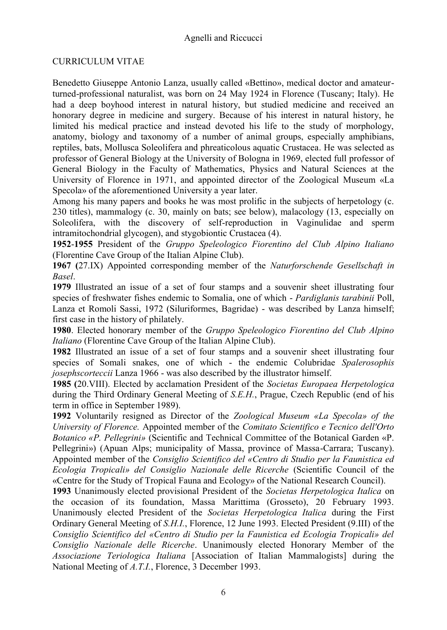# CURRICULUM VITAE

Benedetto Giuseppe Antonio Lanza, usually called «Bettino», medical doctor and amateurturned-professional naturalist, was born on 24 May 1924 in Florence (Tuscany; Italy). He had a deep boyhood interest in natural history, but studied medicine and received an honorary degree in medicine and surgery. Because of his interest in natural history, he limited his medical practice and instead devoted his life to the study of morphology, anatomy, biology and taxonomy of a number of animal groups, especially amphibians, reptiles, bats, Mollusca Soleolifera and phreaticolous aquatic Crustacea. He was selected as professor of General Biology at the University of Bologna in 1969, elected full professor of General Biology in the Faculty of Mathematics, Physics and Natural Sciences at the University of Florence in 1971, and appointed director of the Zoological Museum «La Specola» of the aforementioned University a year later.

Among his many papers and books he was most prolific in the subjects of herpetology (c. 230 titles), mammalogy (c. 30, mainly on bats; see below), malacology (13, especially on Soleolifera, with the discovery of self-reproduction in Vaginulidae and sperm intramitochondrial glycogen), and stygobiontic Crustacea (4).

**1952**-**1955** President of the *Gruppo Speleologico Fiorentino del Club Alpino Italiano* (Florentine Cave Group of the Italian Alpine Club).

**1967 (**27.IX) Appointed corresponding member of the *Naturforschende Gesellschaft in Basel*.

**1979** Illustrated an issue of a set of four stamps and a souvenir sheet illustrating four species of freshwater fishes endemic to Somalia, one of which - *Pardiglanis tarabinii* Poll, Lanza et Romoli Sassi, 1972 (Siluriformes, Bagridae) - was described by Lanza himself; first case in the history of philately.

**1980**. Elected honorary member of the *Gruppo Speleologico Fiorentino del Club Alpino Italiano* (Florentine Cave Group of the Italian Alpine Club).

**1982** Illustrated an issue of a set of four stamps and a souvenir sheet illustrating four species of Somali snakes, one of which - the endemic Colubridae *Spalerosophis josephscorteccii* Lanza 1966 - was also described by the illustrator himself.

**1985 (**20.VIII). Elected by acclamation President of the *Societas Europaea Herpetologica* during the Third Ordinary General Meeting of *S.E.H.*, Prague, Czech Republic (end of his term in office in September 1989).

**1992** Voluntarily resigned as Director of the *Zoological Museum «La Specola» of the University of Florence.* Appointed member of the *Comitato Scientifico e Tecnico dell'Orto Botanico «P. Pellegrini»* (Scientific and Technical Committee of the Botanical Garden «P. Pellegrini») (Apuan Alps; municipality of Massa, province of Massa-Carrara; Tuscany). Appointed member of the *Consiglio Scientifico del «Centro di Studio per la Faunistica ed Ecologia Tropicali» del Consiglio Nazionale delle Ricerche* (Scientific Council of the «Centre for the Study of Tropical Fauna and Ecology» of the National Research Council).

**1993** Unanimously elected provisional President of the *Societas Herpetologica Italica* on the occasion of its foundation, Massa Marittima (Grosseto), 20 February 1993. Unanimously elected President of the *Societas Herpetologica Italica* during the First Ordinary General Meeting of *S.H.I.*, Florence, 12 June 1993. Elected President (9.III) of the *Consiglio Scientifico del «Centro di Studio per la Faunistica ed Ecologia Tropicali» del Consiglio Nazionale delle Ricerche*. Unanimously elected Honorary Member of the *Associazione Teriologica Italiana* [Association of Italian Mammalogists] during the National Meeting of *A.T.I.*, Florence, 3 December 1993.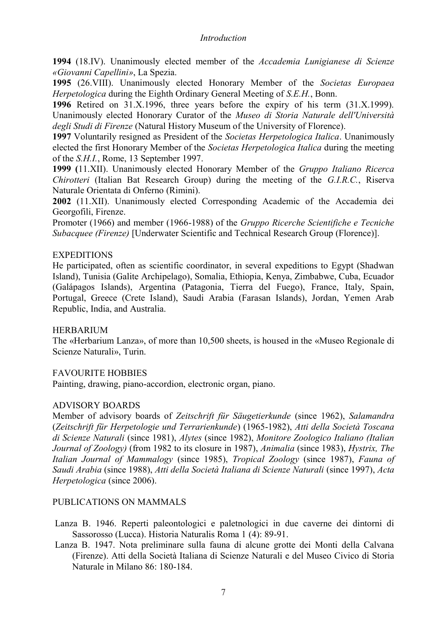#### *Introduction*

**1994** (18.IV). Unanimously elected member of the *Accademia Lunigianese di Scienze «Giovanni Capellini»*, La Spezia.

**1995** (26.VIII). Unanimously elected Honorary Member of the *Societas Europaea Herpetologica* during the Eighth Ordinary General Meeting of *S.E.H.*, Bonn.

**1996** Retired on 31.X.1996, three years before the expiry of his term (31.X.1999). Unanimously elected Honorary Curator of the *Museo di Storia Naturale dell'Università degli Studi di Firenze* (Natural History Museum of the University of Florence).

**1997** Voluntarily resigned as President of the *Societas Herpetologica Italica*. Unanimously elected the first Honorary Member of the *Societas Herpetologica Italica* during the meeting of the *S.H.I.*, Rome, 13 September 1997.

**1999 (**11.XII). Unanimously elected Honorary Member of the *Gruppo Italiano Ricerca Chirotteri* (Italian Bat Research Group) during the meeting of the *G.I.R.C.*, Riserva Naturale Orientata di Onferno (Rimini).

**2002** (11.XII). Unanimously elected Corresponding Academic of the Accademia dei Georgofili, Firenze.

Promoter (1966) and member (1966-1988) of the *Gruppo Ricerche Scientifiche e Tecniche Subacquee (Firenze)* [Underwater Scientific and Technical Research Group (Florence)].

# **EXPEDITIONS**

He participated, often as scientific coordinator, in several expeditions to Egypt (Shadwan Island), Tunisia (Galite Archipelago), Somalia, Ethiopia, Kenya, Zimbabwe, Cuba, Ecuador (Galápagos Islands), Argentina (Patagonia, Tierra del Fuego), France, Italy, Spain, Portugal, Greece (Crete Island), Saudi Arabia (Farasan Islands), Jordan, Yemen Arab Republic, India, and Australia.

#### HERBARIUM

The «Herbarium Lanza», of more than 10,500 sheets, is housed in the «Museo Regionale di Scienze Naturali», Turin.

# FAVOURITE HOBBIES

Painting, drawing, piano-accordion, electronic organ, piano.

# ADVISORY BOARDS

Member of advisory boards of *Zeitschrift für Säugetierkunde* (since 1962), *Salamandra* (*Zeitschrift für Herpetologie und Terrarienkunde*) (1965-1982), *Atti della Società Toscana di Scienze Naturali* (since 1981), *Alytes* (since 1982), *Monitore Zoologico Italiano (Italian Journal of Zoology)* (from 1982 to its closure in 1987), *Animalia* (since 1983), *Hystrix, The Italian Journal of Mammalogy* (since 1985), *Tropical Zoology* (since 1987), *Fauna of Saudi Arabia* (since 1988), *Atti della Società Italiana di Scienze Naturali* (since 1997), *Acta Herpetologica* (since 2006).

# PUBLICATIONS ON MAMMALS

- Lanza B. 1946. Reperti paleontologici e paletnologici in due caverne dei dintorni di Sassorosso (Lucca). Historia Naturalis Roma 1 (4): 89-91.
- Lanza B. 1947. Nota preliminare sulla fauna di alcune grotte dei Monti della Calvana (Firenze). Atti della Società Italiana di Scienze Naturali e del Museo Civico di Storia Naturale in Milano 86: 180-184.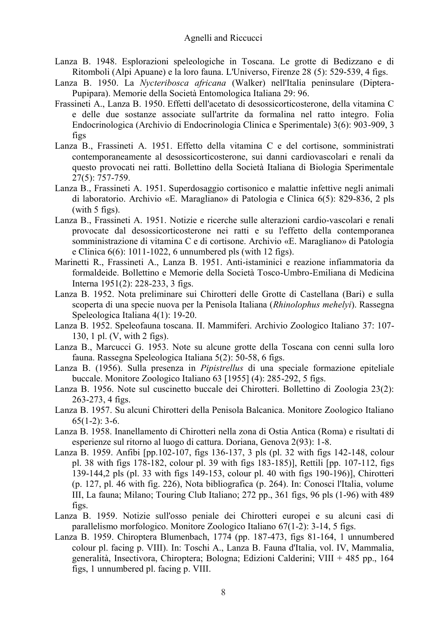- Lanza B. 1948. Esplorazioni speleologiche in Toscana. Le grotte di Bedizzano e di Ritomboli (Alpi Apuane) e la loro fauna. L'Universo, Firenze 28 (5): 529-539, 4 figs.
- Lanza B. 1950. La *Nycteribosca africana* (Walker) nell'Italia peninsulare (Diptera-Pupipara). Memorie della Società Entomologica Italiana 29: 96.
- Frassineti A., Lanza B. 1950. Effetti dell'acetato di desossicorticosterone, della vitamina C e delle due sostanze associate sull'artrite da formalina nel ratto integro. Folia Endocrinologica (Archivio di Endocrinologia Clinica e Sperimentale) 3(6): 903-909, 3 figs
- Lanza B., Frassineti A. 1951. Effetto della vitamina C e del cortisone, somministrati contemporaneamente al desossicorticosterone, sui danni cardiovascolari e renali da questo provocati nei ratti. Bollettino della Società Italiana di Biologia Sperimentale 27(5): 757-759.
- Lanza B., Frassineti A. 1951. Superdosaggio cortisonico e malattie infettive negli animali di laboratorio. Archivio «E. Maragliano» di Patologia e Clinica 6(5): 829-836, 2 pls (with 5 figs).
- Lanza B., Frassineti A. 1951. Notizie e ricerche sulle alterazioni cardio-vascolari e renali provocate dal desossicorticosterone nei ratti e su l'effetto della contemporanea somministrazione di vitamina C e di cortisone. Archivio «E. Maragliano» di Patologia e Clinica 6(6): 1011-1022, 6 unnumbered pls (with 12 figs).
- Marinetti R., Frassineti A., Lanza B. 1951. Anti-istaminici e reazione infiammatoria da formaldeide. Bollettino e Memorie della Società Tosco-Umbro-Emiliana di Medicina Interna 1951(2): 228-233, 3 figs.
- Lanza B. 1952. Nota preliminare sui Chirotteri delle Grotte di Castellana (Bari) e sulla scoperta di una specie nuova per la Penisola Italiana (*Rhinolophus mehelyi*). Rassegna Speleologica Italiana 4(1): 19-20.
- Lanza B. 1952. Speleofauna toscana. II. Mammiferi. Archivio Zoologico Italiano 37: 107- 130, 1 pl. (V, with 2 figs).
- Lanza B., Marcucci G. 1953. Note su alcune grotte della Toscana con cenni sulla loro fauna. Rassegna Speleologica Italiana 5(2): 50-58, 6 figs.
- Lanza B. (1956). Sulla presenza in *Pipistrellus* di una speciale formazione epiteliale buccale. Monitore Zoologico Italiano 63 [1955] (4): 285-292, 5 figs.
- Lanza B. 1956. Note sul cuscinetto buccale dei Chirotteri. Bollettino di Zoologia 23(2): 263-273, 4 figs.
- Lanza B. 1957. Su alcuni Chirotteri della Penisola Balcanica. Monitore Zoologico Italiano  $65(1-2)$ : 3-6.
- Lanza B. 1958. Inanellamento di Chirotteri nella zona di Ostia Antica (Roma) e risultati di esperienze sul ritorno al luogo di cattura. Doriana, Genova 2(93): 1-8.
- Lanza B. 1959. Anfibi [pp.102-107, figs 136-137, 3 pls (pl. 32 with figs 142-148, colour pl. 38 with figs 178-182, colour pl. 39 with figs 183-185)], Rettili [pp. 107-112, figs 139-144,2 pls (pl. 33 with figs 149-153, colour pl. 40 with figs 190-196)], Chirotteri (p. 127, pl. 46 with fig. 226), Nota bibliografica (p. 264). In: Conosci l'Italia, volume III, La fauna; Milano; Touring Club Italiano; 272 pp., 361 figs, 96 pls (1-96) with 489 figs.
- Lanza B. 1959. Notizie sull'osso peniale dei Chirotteri europei e su alcuni casi di parallelismo morfologico. Monitore Zoologico Italiano 67(1-2): 3-14, 5 figs.
- Lanza B. 1959. Chiroptera Blumenbach, 1774 (pp. 187-473, figs 81-164, 1 unnumbered colour pl. facing p. VIII). In: Toschi A., Lanza B. Fauna d'Italia, vol. IV, Mammalia, generalità, Insectivora, Chiroptera; Bologna; Edizioni Calderini; VIII + 485 pp., 164 figs, 1 unnumbered pl. facing p. VIII.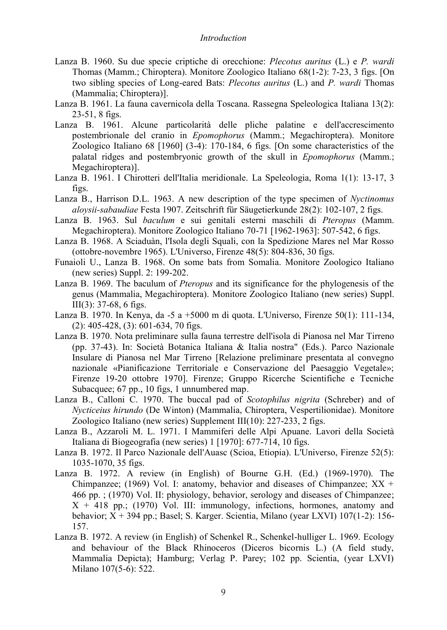#### *Introduction*

- Lanza B. 1960. Su due specie criptiche di orecchione: *Plecotus auritus* (L.) e *P. wardi*  Thomas (Mamm.; Chiroptera). Monitore Zoologico Italiano 68(1-2): 7-23, 3 figs. [On two sibling species of Long-eared Bats: *Plecotus auritus* (L.) and *P. wardi* Thomas (Mammalia; Chiroptera)].
- Lanza B. 1961. La fauna cavernicola della Toscana. Rassegna Speleologica Italiana 13(2): 23-51, 8 figs.
- Lanza B. 1961. Alcune particolarità delle pliche palatine e dell'accrescimento postembrionale del cranio in *Epomophorus* (Mamm.; Megachiroptera). Monitore Zoologico Italiano 68 [1960] (3-4): 170-184, 6 figs. [On some characteristics of the palatal ridges and postembryonic growth of the skull in *Epomophorus* (Mamm.; Megachiroptera)].
- Lanza B. 1961. I Chirotteri dell'Italia meridionale. La Speleologia, Roma 1(1): 13-17, 3 figs.
- Lanza B., Harrison D.L. 1963. A new description of the type specimen of *Nyctinomus aloysii-sabaudiae* Festa 1907. Zeitschrift für Säugetierkunde 28(2): 102-107, 2 figs.
- Lanza B. 1963. Sul *baculum* e sui genitali esterni maschili di *Pteropus* (Mamm. Megachiroptera). Monitore Zoologico Italiano 70-71 [1962-1963]: 507-542, 6 figs.
- Lanza B. 1968. A Sciaduàn, l'Isola degli Squali, con la Spedizione Mares nel Mar Rosso (ottobre-novembre 1965). L'Universo, Firenze 48(5): 804-836, 30 figs.
- Funaioli U., Lanza B. 1968. On some bats from Somalia. Monitore Zoologico Italiano (new series) Suppl. 2: 199-202.
- Lanza B. 1969. The baculum of *Pteropus* and its significance for the phylogenesis of the genus (Mammalia, Megachiroptera). Monitore Zoologico Italiano (new series) Suppl. III(3): 37-68, 6 figs.
- Lanza B. 1970. In Kenya, da -5 a +5000 m di quota. L'Universo, Firenze 50(1): 111-134, (2): 405-428, (3): 601-634, 70 figs.
- Lanza B. 1970. Nota preliminare sulla fauna terrestre dell'isola di Pianosa nel Mar Tirreno (pp. 37-43). In: Società Botanica Italiana & Italia nostra" (Eds.). Parco Nazionale Insulare di Pianosa nel Mar Tirreno [Relazione preliminare presentata al convegno nazionale «Pianificazione Territoriale e Conservazione del Paesaggio Vegetale»; Firenze 19-20 ottobre 1970]. Firenze; Gruppo Ricerche Scientifiche e Tecniche Subacquee; 67 pp., 10 figs, 1 unnumbered map.
- Lanza B., Calloni C. 1970. The buccal pad of *Scotophilus nigrita* (Schreber) and of *Nycticeius hirundo* (De Winton) (Mammalia, Chiroptera, Vespertilionidae). Monitore Zoologico Italiano (new series) Supplement III(10): 227-233, 2 figs.
- Lanza B., Azzaroli M. L. 1971. I Mammiferi delle Alpi Apuane. Lavori della Società Italiana di Biogeografia (new series) 1 [1970]: 677-714, 10 figs.
- Lanza B. 1972. Il Parco Nazionale dell'Auasc (Scioa, Etiopia). L'Universo, Firenze 52(5): 1035-1070, 35 figs.
- Lanza B. 1972. A review (in English) of Bourne G.H. (Ed.) (1969-1970). The Chimpanzee; (1969) Vol. I: anatomy, behavior and diseases of Chimpanzee;  $XX +$ 466 pp. ; (1970) Vol. II: physiology, behavior, serology and diseases of Chimpanzee; X + 418 pp.; (1970) Vol. III: immunology, infections, hormones, anatomy and behavior; X + 394 pp.; Basel; S. Karger. Scientia, Milano (year LXVI) 107(1-2): 156- 157.
- Lanza B. 1972. A review (in English) of Schenkel R., Schenkel-hulliger L. 1969. Ecology and behaviour of the Black Rhinoceros (Diceros bicornis L.) (A field study, Mammalia Depicta); Hamburg; Verlag P. Parey; 102 pp. Scientia, (year LXVI) Milano 107(5-6): 522.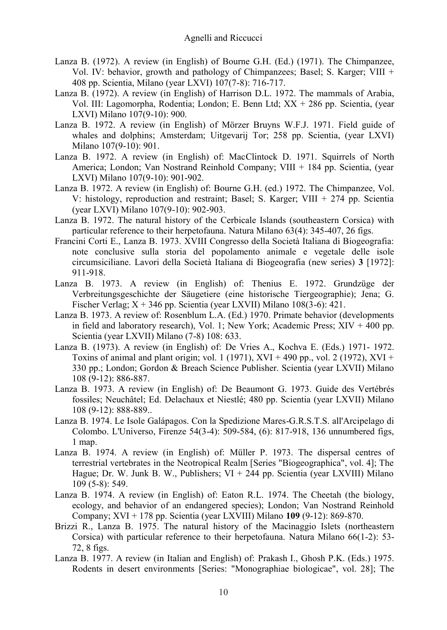- Lanza B. (1972). A review (in English) of Bourne G.H. (Ed.) (1971). The Chimpanzee, Vol. IV: behavior, growth and pathology of Chimpanzees; Basel; S. Karger; VIII + 408 pp. Scientia, Milano (year LXVI) 107(7-8): 716-717.
- Lanza B. (1972). A review (in English) of Harrison D.L. 1972. The mammals of Arabia, Vol. III: Lagomorpha, Rodentia; London; E. Benn Ltd; XX + 286 pp. Scientia, (year LXVI) Milano 107(9-10): 900.
- Lanza B. 1972. A review (in English) of Mörzer Bruyns W.F.J. 1971. Field guide of whales and dolphins; Amsterdam; Uitgevarij Tor; 258 pp. Scientia, (year LXVI) Milano 107(9-10): 901.
- Lanza B. 1972. A review (in English) of: MacClintock D. 1971. Squirrels of North America; London; Van Nostrand Reinhold Company; VIII + 184 pp. Scientia, (year LXVI) Milano 107(9-10): 901-902.
- Lanza B. 1972. A review (in English) of: Bourne G.H. (ed.) 1972. The Chimpanzee, Vol. V: histology, reproduction and restraint; Basel; S. Karger; VIII + 274 pp. Scientia (year LXVI) Milano 107(9-10): 902-903.
- Lanza B. 1972. The natural history of the Cerbicale Islands (southeastern Corsica) with particular reference to their herpetofauna. Natura Milano 63(4): 345-407, 26 figs.
- Francini Corti E., Lanza B. 1973. XVIII Congresso della Società Italiana di Biogeografia: note conclusive sulla storia del popolamento animale e vegetale delle isole circumsiciliane. Lavori della Società Italiana di Biogeografia (new series) **3** [1972]: 911-918.
- Lanza B. 1973. A review (in English) of: Thenius E. 1972. Grundzüge der Verbreitungsgeschichte der Säugetiere (eine historische Tiergeographie); Jena; G. Fischer Verlag;  $X + 346$  pp. Scientia (year LXVII) Milano 108(3-6): 421.
- Lanza B. 1973. A review of: Rosenblum L.A. (Ed.) 1970. Primate behavior (developments in field and laboratory research), Vol. 1; New York; Academic Press; XIV + 400 pp. Scientia (year LXVII) Milano (7-8) 108: 633.
- Lanza B. (1973). A review (in English) of: De Vries A., Kochva E. (Eds.) 1971- 1972. Toxins of animal and plant origin; vol. 1 (1971),  $XVI + 490$  pp., vol. 2 (1972),  $XVI +$ 330 pp.; London; Gordon & Breach Science Publisher. Scientia (year LXVII) Milano 108 (9-12): 886-887.
- Lanza B. 1973. A review (in English) of: De Beaumont G. 1973. Guide des Vertébrés fossiles; Neuchâtel; Ed. Delachaux et Niestlé; 480 pp. Scientia (year LXVII) Milano 108 (9-12): 888-889..
- Lanza B. 1974. Le Isole Galápagos. Con la Spedizione Mares-G.R.S.T.S. all'Arcipelago di Colombo. L'Universo, Firenze 54(3-4): 509-584, (6): 817-918, 136 unnumbered figs, 1 map.
- Lanza B. 1974. A review (in English) of: Müller P. 1973. The dispersal centres of terrestrial vertebrates in the Neotropical Realm [Series "Biogeographica", vol. 4]; The Hague; Dr. W. Junk B. W., Publishers;  $VI + 244$  pp. Scientia (year LXVIII) Milano 109 (5-8): 549.
- Lanza B. 1974. A review (in English) of: Eaton R.L. 1974. The Cheetah (the biology, ecology, and behavior of an endangered species); London; Van Nostrand Reinhold Company; XVI + 178 pp. Scientia (year LXVIII) Milano **109** (9-12): 869-870.
- Brizzi R., Lanza B. 1975. The natural history of the Macinaggio Islets (northeastern Corsica) with particular reference to their herpetofauna. Natura Milano 66(1-2): 53- 72, 8 figs.
- Lanza B. 1977. A review (in Italian and English) of: Prakash I., Ghosh P.K. (Eds.) 1975. Rodents in desert environments [Series: "Monographiae biologicae", vol. 28]; The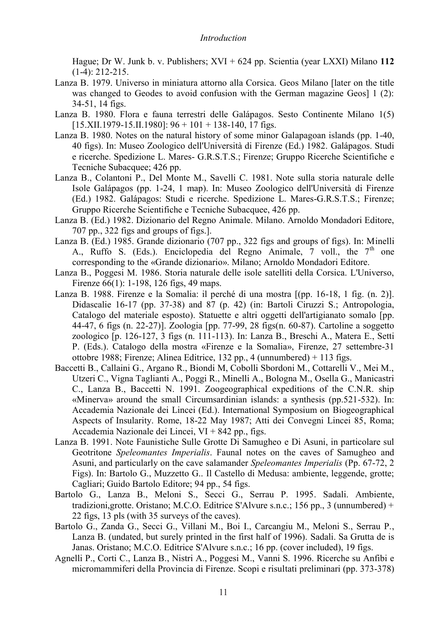Hague; Dr W. Junk b. v. Publishers; XVI + 624 pp. Scientia (year LXXI) Milano **112** (1-4): 212-215.

- Lanza B. 1979. Universo in miniatura attorno alla Corsica. Geos Milano [later on the title was changed to Geodes to avoid confusion with the German magazine Geos] 1 (2): 34-51, 14 figs.
- Lanza B. 1980. Flora e fauna terrestri delle Galápagos. Sesto Continente Milano 1(5)  $[15.$ XII.1979-15.II.1980]: 96 + 101 + 138-140, 17 figs.
- Lanza B. 1980. Notes on the natural history of some minor Galapagoan islands (pp. 1-40, 40 figs). In: Museo Zoologico dell'Università di Firenze (Ed.) 1982. Galápagos. Studi e ricerche. Spedizione L. Mares- G.R.S.T.S.; Firenze; Gruppo Ricerche Scientifiche e Tecniche Subacquee; 426 pp.
- Lanza B., Colantoni P., Del Monte M., Savelli C. 1981. Note sulla storia naturale delle Isole Galápagos (pp. 1-24, 1 map). In: Museo Zoologico dell'Università di Firenze (Ed.) 1982. Galápagos: Studi e ricerche. Spedizione L. Mares-G.R.S.T.S.; Firenze; Gruppo Ricerche Scientifiche e Tecniche Subacquee, 426 pp.
- Lanza B. (Ed.) 1982. Dizionario del Regno Animale. Milano. Arnoldo Mondadori Editore, 707 pp., 322 figs and groups of figs.].
- Lanza B. (Ed.) 1985. Grande dizionario (707 pp., 322 figs and groups of figs). In: Minelli A., Ruffo S. (Eds.). Enciclopedia del Regno Animale,  $7$  voll., the  $7<sup>th</sup>$  one corresponding to the «Grande dizionario». Milano; Arnoldo Mondadori Editore.
- Lanza B., Poggesi M. 1986. Storia naturale delle isole satelliti della Corsica. L'Universo, Firenze 66(1): 1-198, 126 figs, 49 maps.
- Lanza B. 1988. Firenze e la Somalia: il perché di una mostra [(pp. 16-18, 1 fig. (n. 2)]. Didascalie 16-17 (pp. 37-38) and 87 (p. 42) (in: Bartoli Ciruzzi S.; Antropologia, Catalogo del materiale esposto). Statuette e altri oggetti dell'artigianato somalo [pp. 44-47, 6 figs (n. 22-27)]. Zoologia [pp. 77-99, 28 figs(n. 60-87). Cartoline a soggetto zoologico [p. 126-127, 3 figs (n. 111-113). In: Lanza B., Breschi A., Matera E., Setti P. (Eds.). Catalogo della mostra «Firenze e la Somalia», Firenze, 27 settembre-31 ottobre 1988; Firenze; Alinea Editrice, 132 pp., 4 (unnumbered) + 113 figs.
- Baccetti B., Callaini G., Argano R., Biondi M, Cobolli Sbordoni M., Cottarelli V., Mei M., Utzeri C., Vigna Taglianti A., Poggi R., Minelli A., Bologna M., Osella G., Manicastri C., Lanza B., Baccetti N. 1991. Zoogeographical expeditions of the C.N.R. ship «Minerva» around the small Circumsardinian islands: a synthesis (pp.521-532). In: Accademia Nazionale dei Lincei (Ed.). International Symposium on Biogeographical Aspects of Insularity. Rome, 18-22 May 1987; Atti dei Convegni Lincei 85, Roma; Accademia Nazionale dei Lincei, VI + 842 pp., figs.
- Lanza B. 1991. Note Faunistiche Sulle Grotte Di Samugheo e Di Asuni, in particolare sul Geotritone *Speleomantes Imperialis*. Faunal notes on the caves of Samugheo and Asuni, and particularly on the cave salamander *Speleomantes Imperialis* (Pp. 67-72, 2 Figs). In: Bartolo G., Muzzetto G.. Il Castello di Medusa: ambiente, leggende, grotte; Cagliari; Guido Bartolo Editore; 94 pp., 54 figs.
- Bartolo G., Lanza B., Meloni S., Secci G., Serrau P. 1995. Sadali. Ambiente, tradizioni,grotte. Oristano; M.C.O. Editrice S'Alvure s.n.c.; 156 pp., 3 (unnumbered) + 22 figs, 13 pls (with 35 surveys of the caves).
- Bartolo G., Zanda G., Secci G., Villani M., Boi I., Carcangiu M., Meloni S., Serrau P., Lanza B. (undated, but surely printed in the first half of 1996). Sadali. Sa Grutta de is Janas. Oristano; M.C.O. Editrice S'Alvure s.n.c.; 16 pp. (cover included), 19 figs.
- Agnelli P., Corti C., Lanza B., Nistri A., Poggesi M., Vanni S. 1996. Ricerche su Anfibi e micromammiferi della Provincia di Firenze. Scopi e risultati preliminari (pp. 373-378)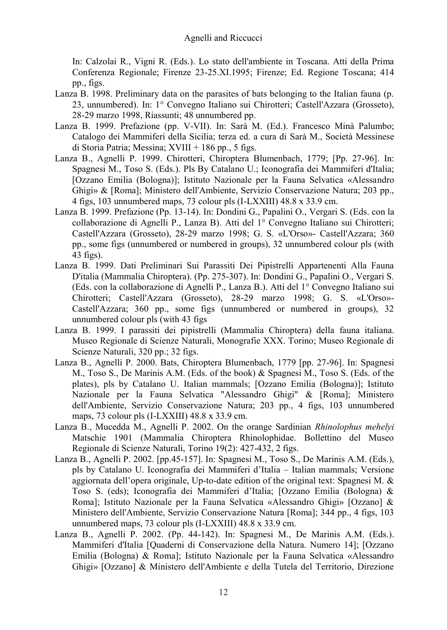In: Calzolai R., Vigni R. (Eds.). Lo stato dell'ambiente in Toscana. Atti della Prima Conferenza Regionale; Firenze 23-25.XI.1995; Firenze; Ed. Regione Toscana; 414 pp., figs.

- Lanza B. 1998. Preliminary data on the parasites of bats belonging to the Italian fauna (p. 23, unnumbered). In: 1° Convegno Italiano sui Chirotteri; Castell'Azzara (Grosseto), 28-29 marzo 1998, Riassunti; 48 unnumbered pp.
- Lanza B. 1999. Prefazione (pp. V-VII). In: Sarà M. (Ed.). Francesco Minà Palumbo; Catalogo dei Mammiferi della Sicilia; terza ed. a cura di Sarà M., Società Messinese di Storia Patria; Messina;  $XVIII + 186$  pp., 5 figs.
- Lanza B., Agnelli P. 1999. Chirotteri, Chiroptera Blumenbach, 1779; [Pp. 27-96]. In: Spagnesi M., Toso S. (Eds.). Pls By Catalano U.; Iconografia dei Mammiferi d'Italia; [Ozzano Emilia (Bologna)]; Istituto Nazionale per la Fauna Selvatica «Alessandro Ghigi» & [Roma]; Ministero dell'Ambiente, Servizio Conservazione Natura; 203 pp., 4 figs, 103 unnumbered maps, 73 colour pls (I-LXXIII) 48.8 x 33.9 cm.
- Lanza B. 1999. Prefazione (Pp. 13-14). In: Dondini G., Papalini O., Vergari S. (Eds. con la collaborazione di Agnelli P., Lanza B). Atti del 1° Convegno Italiano sui Chirotteri; Castell'Azzara (Grosseto), 28-29 marzo 1998; G. S. «L'Orso»- Castell'Azzara; 360 pp., some figs (unnumbered or numbered in groups), 32 unnumbered colour pls (with 43 figs).
- Lanza B. 1999. Dati Preliminari Sui Parassiti Dei Pipistrelli Appartenenti Alla Fauna D'italia (Mammalia Chiroptera). (Pp. 275-307). In: Dondini G., Papalini O., Vergari S. (Eds. con la collaborazione di Agnelli P., Lanza B.). Atti del 1° Convegno Italiano sui Chirotteri; Castell'Azzara (Grosseto), 28-29 marzo 1998; G. S. «L'Orso»- Castell'Azzara; 360 pp., some figs (unnumbered or numbered in groups), 32 unnumbered colour pls (with 43 figs
- Lanza B. 1999. I parassiti dei pipistrelli (Mammalia Chiroptera) della fauna italiana. Museo Regionale di Scienze Naturali, Monografie XXX. Torino; Museo Regionale di Scienze Naturali, 320 pp.; 32 figs.
- Lanza B., Agnelli P. 2000. Bats, Chiroptera Blumenbach, 1779 [pp. 27-96]. In: Spagnesi M., Toso S., De Marinis A.M. (Eds. of the book) & Spagnesi M., Toso S. (Eds. of the plates), pls by Catalano U. Italian mammals; [Ozzano Emilia (Bologna)]; Istituto Nazionale per la Fauna Selvatica "Alessandro Ghigi" & [Roma]; Ministero dell'Ambiente, Servizio Conservazione Natura; 203 pp., 4 figs, 103 unnumbered maps, 73 colour pls (I-LXXIII) 48.8 x 33.9 cm.
- Lanza B., Mucedda M., Agnelli P. 2002. On the orange Sardinian *Rhinolophus mehelyi* Matschie 1901 (Mammalia Chiroptera Rhinolophidae. Bollettino del Museo Regionale di Scienze Naturali, Torino 19(2): 427-432, 2 figs.
- Lanza B., Agnelli P. 2002. [pp.45-157]. In: Spagnesi M., Toso S., De Marinis A.M. (Eds.), pls by Catalano U. Iconografia dei Mammiferi d'Italia – Italian mammals; Versione aggiornata dell'opera originale, Up-to-date edition of the original text: Spagnesi M. & Toso S. (eds); Iconografia dei Mammiferi d'Italia; [Ozzano Emilia (Bologna) & Roma]; Istituto Nazionale per la Fauna Selvatica «Alessandro Ghigi» [Ozzano] & Ministero dell'Ambiente, Servizio Conservazione Natura [Roma]; 344 pp., 4 figs, 103 unnumbered maps, 73 colour pls (I-LXXIII) 48.8 x 33.9 cm.
- Lanza B., Agnelli P. 2002. (Pp. 44-142). In: Spagnesi M., De Marinis A.M. (Eds.). Mammiferi d'Italia [Quaderni di Conservazione della Natura. Numero 14]; [Ozzano Emilia (Bologna) & Roma]; Istituto Nazionale per la Fauna Selvatica «Alessandro Ghigi» [Ozzano] & Ministero dell'Ambiente e della Tutela del Territorio, Direzione